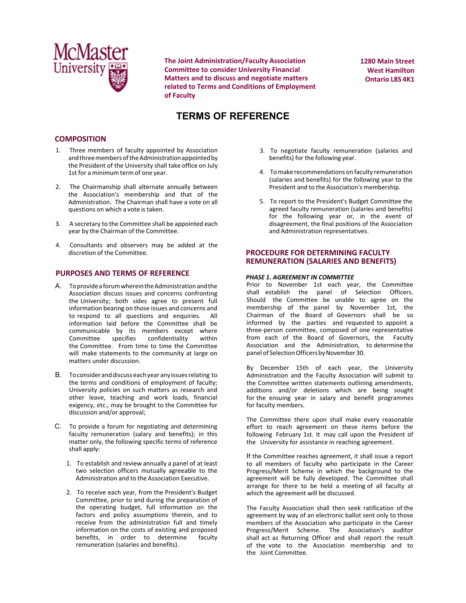

**The Joint Administration/Faculty Association Committee to consider University Financial Matters and to discuss and negotiate matters related to Terms and Conditions of Employment of Faculty**

**1280 Main Street West Hamilton Ontario L8S 4K1**

# **TERMS OF REFERENCE**

## **COMPOSITION**

- 1. Three members of faculty appointed by Association and three members of the Administration appointed by the President of the University shall take office on July 1st for a minimum term of one year.
- 2. The Chairmanship shall alternate annually between the Association's membership and that of the Administration. The Chairman shall have a vote on all questions on which a vote is taken.
- 3. A secretary to the Committee shall be appointed each year by the Chairman of the Committee.
- 4. Consultants and observers may be added at the discretion of the Committee.

## **PURPOSES AND TERMS OF REFERENCE**

- A. To provide a forum wherein the Administration and the Association discuss issues and concerns confronting the University; both sides agree to present full information bearing on those issues and concerns and to respond to all questions and enquiries. All information laid before the Committee shall be communicable by its members except where<br>Committee specifies confidentiality within confidentiality the Committee. From time to time the Committee will make statements to the community at large on matters under discussion.
- B. To consider and discuss each year any issues relating to the terms and conditions of employment of faculty; University policies on such matters as research and other leave, teaching and work loads, financial exigency, etc., may be brought to the Committee for discussion and/or approval;
- C. To provide a forum for negotiating and determining faculty remuneration (salary and benefits); in this matter only, the following specific terms of reference shall apply:
	- 1. To establish and review annually a panel of at least two selection officers mutually agreeable to the Administration and to the Association Executive.
	- 2. To receive each year, from the President's Budget Committee, prior to and during the preparation of the operating budget, full information on the factors and policy assumptions therein, and to receive from the administration full and timely information on the costs of existing and proposed benefits, in order to determine faculty remuneration (salaries and benefits).
- 3. To negotiate faculty remuneration (salaries and benefits) for the following year.
- 4. To make recommendations on faculty remuneration (salaries and benefits) for the following year to the President and to the Association's membership.
- 5. To report to the President's Budget Committee the agreed faculty remuneration (salaries and benefits) for the following year or, in the event of disagreement, the final positions of the Association and Administration representatives.

## **PROCEDURE FOR DETERMINING FACULTY REMUNERATION (SALARIES AND BENEFITS)**

#### *PHASE 1. AGREEMENT IN COMMITTEE*

Prior to November 1st each year, the Committee shall establish the panel of Selection Officers. Should the Committee be unable to agree on the membership of the panel by November 1st, the Chairman of the Board of Governors shall be so informed by the parties and requested to appoint a three-person committee, composed of one representative from each of the Board of Governors, the Faculty Association and the Administration, to determine the panel of Selection Officers by November 30.

By December 15th of each year, the University Administration and the Faculty Association will submit to the Committee written statements outlining amendments, additions and/or deletions which are being sought for the ensuing year in salary and benefit programmes for faculty members.

The Committee there upon shall make every reasonable effort to reach agreement on these items before the following February 1st. It may call upon the President of the University for assistance in reaching agreement.

If the Committee reaches agreement, it shall issue a report to all members of faculty who participate in the Career Progress/Merit Scheme in which the background to the agreement will be fully developed. The Committee shall arrange for there to be held a meeting of all faculty at which the agreement will be discussed.

The Faculty Association shall then seek ratification of the agreement by way of an electronic ballot sent only to those members of the Association who participate in the Career Progress/Merit Scheme. The Association's auditor shall act as Returning Officer and shall report the result of the vote to the Association membership and to the Joint Committee.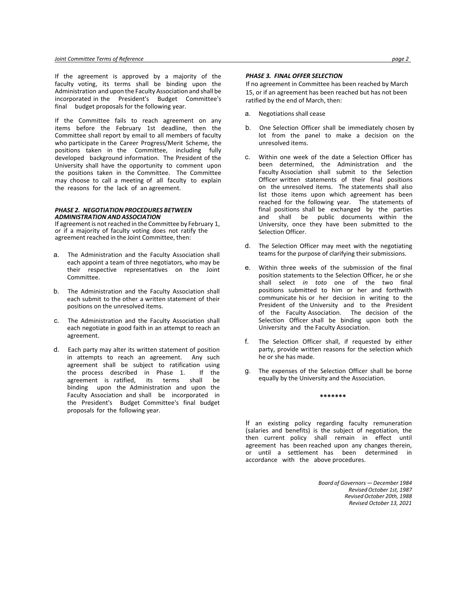If the agreement is approved by a majority of the faculty voting, its terms shall be binding upon the Administration and upon the Faculty Association and shall be incorporated in the President's Budget Committee's final budget proposals for the following year.

If the Committee fails to reach agreement on any items before the February 1st deadline, then the Committee shall report by email to all members of faculty who participate in the Career Progress/Merit Scheme, the positions taken in the Committee, including fully developed background information. The President of the University shall have the opportunity to comment upon the positions taken in the Committee. The Committee may choose to call a meeting of all faculty to explain the reasons for the lack of an agreement.

### *PHASE 2. NEGOTIATION PROCEDURES BETWEEN ADMINISTRATION AND ASSOCIATION*

If agreement is not reached in the Committee by February 1, or if a majority of faculty voting does not ratify the agreement reached in the Joint Committee, then:

- a. The Administration and the Faculty Association shall each appoint a team of three negotiators, who may be their respective representatives on the Joint Committee.
- b. The Administration and the Faculty Association shall each submit to the other a written statement of their positions on the unresolved items.
- c. The Administration and the Faculty Association shall each negotiate in good faith in an attempt to reach an agreement.
- d. Each party may alter its written statement of position in attempts to reach an agreement. Any such agreement shall be subject to ratification using<br>the process described in Phase 1. If the the process described in Phase 1. agreement is ratified, its terms shall be binding upon the Administration and upon the Faculty Association and shall be incorporated in the President's Budget Committee's final budget proposals for the following year.

#### *PHASE 3. FINAL OFFER SELECTION*

If no agreement in Committee has been reached by March 15, or if an agreement has been reached but has not been ratified by the end of March, then:

- a. Negotiations shall cease
- b. One Selection Officer shall be immediately chosen by lot from the panel to make a decision on the unresolved items.
- c. Within one week of the date a Selection Officer has been determined, the Administration and the Faculty Association shall submit to the Selection Officer written statements of their final positions on the unresolved items. The statements shall also list those items upon which agreement has been reached for the following year. The statements of final positions shall be exchanged by the parties and shall be public documents within the University, once they have been submitted to the Selection Officer.
- d. The Selection Officer may meet with the negotiating teams for the purpose of clarifying their submissions.
- e. Within three weeks of the submission of the final position statements to the Selection Officer, he or she shall select *in toto* one of the two final positions submitted to him or her and forthwith communicate his or her decision in writing to the President of the University and to the President of the Faculty Association. The decision of the Selection Officer shall be binding upon both the University and the Faculty Association.
- f. The Selection Officer shall, if requested by either party, provide written reasons for the selection which he or she has made.
- g. The expenses of the Selection Officer shall be borne equally by the University and the Association.

#### **\*\*\*\*\*\*\***

If an existing policy regarding faculty remuneration (salaries and benefits) is the subject of negotiation, the then current policy shall remain in effect until agreement has been reached upon any changes therein, or until a settlement has been determined in accordance with the above procedures.

> *Board of Governors — December 1984 Revised October 1st, 1987 Revised October 20th, 1988 Revised October 13, 2021*